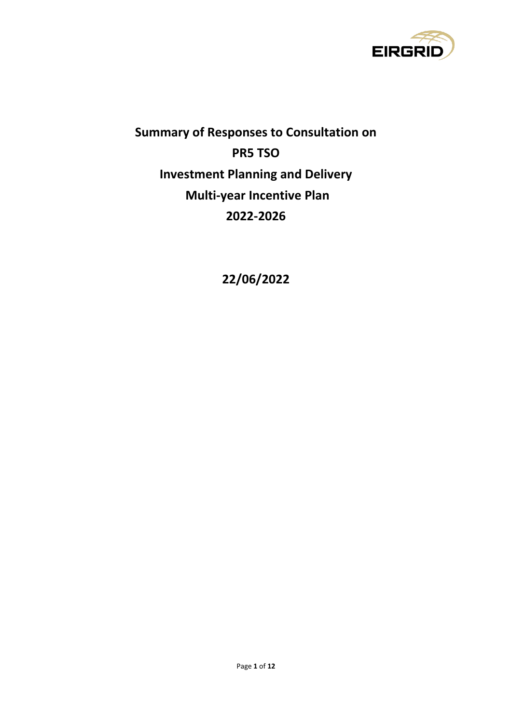

# **Summary of Responses to Consultation on PR5 TSO Investment Planning and Delivery Multi-year Incentive Plan 2022-2026**

**22/06/2022**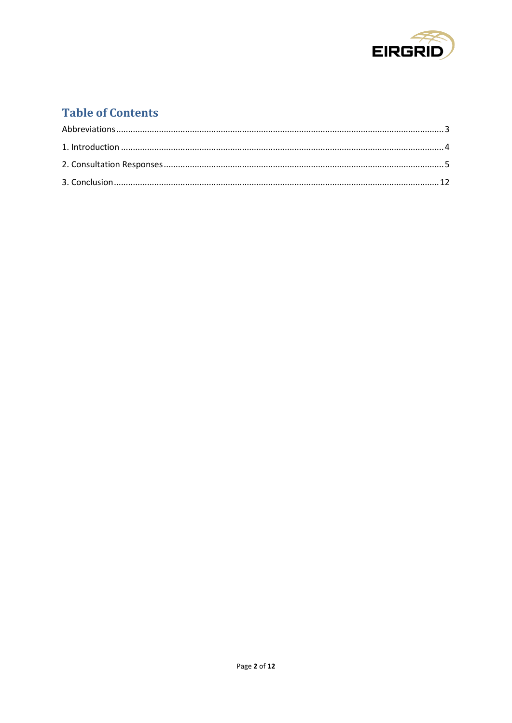

# **Table of Contents**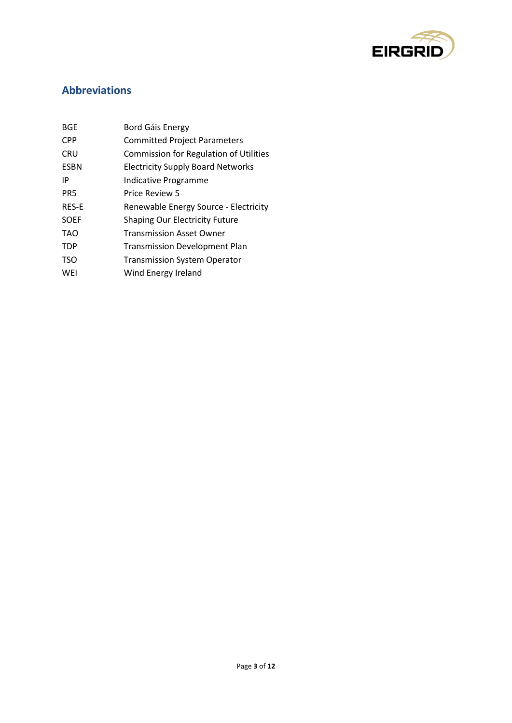

# <span id="page-2-0"></span>**Abbreviations**

| <b>BGE</b>      | <b>Bord Gáis Energy</b>                       |
|-----------------|-----------------------------------------------|
| <b>CPP</b>      | <b>Committed Project Parameters</b>           |
| CRU             | <b>Commission for Regulation of Utilities</b> |
| <b>ESBN</b>     | <b>Electricity Supply Board Networks</b>      |
| IP              | Indicative Programme                          |
| PR <sub>5</sub> | Price Review 5                                |
| <b>RES-E</b>    | Renewable Energy Source - Electricity         |
| <b>SOEF</b>     | <b>Shaping Our Electricity Future</b>         |
| TAO             | <b>Transmission Asset Owner</b>               |
| <b>TDP</b>      | <b>Transmission Development Plan</b>          |
| TSO             | <b>Transmission System Operator</b>           |
| WEI             | Wind Energy Ireland                           |
|                 |                                               |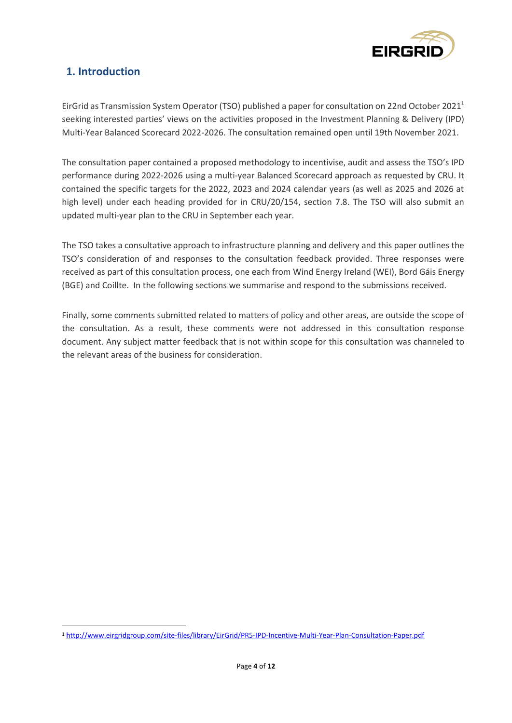

# <span id="page-3-0"></span>**1. Introduction**

EirGrid as Transmission System Operator (TSO) published a paper for consultation on 22nd October 2021<sup>1</sup> seeking interested parties' views on the activities proposed in the [Investment Planning & Delivery \(IPD\)](http://www.eirgridgroup.com/site-files/library/EirGrid/PR5-IPD-Incentive-Multi-Year-Plan-Consultation-Paper.pdf)  [Multi-Year Balanced Scorecard 2022-2026.](http://www.eirgridgroup.com/site-files/library/EirGrid/PR5-IPD-Incentive-Multi-Year-Plan-Consultation-Paper.pdf) The consultation remained open until 19th November 2021.

The consultation paper contained a proposed methodology to incentivise, audit and assess the TSO's IPD performance during 2022-2026 using a multi-year Balanced Scorecard approach as requested by CRU. It contained the specific targets for the 2022, 2023 and 2024 calendar years (as well as 2025 and 2026 at high level) under each heading provided for in CRU/20/154, section 7.8. The TSO will also submit an updated multi-year plan to the CRU in September each year.

The TSO takes a consultative approach to infrastructure planning and delivery and this paper outlines the TSO's consideration of and responses to the consultation feedback provided. Three responses were received as part of this consultation process, one each from Wind Energy Ireland (WEI), Bord Gáis Energy (BGE) and Coillte. In the following sections we summarise and respond to the submissions received.

Finally, some comments submitted related to matters of policy and other areas, are outside the scope of the consultation. As a result, these comments were not addressed in this consultation response document. Any subject matter feedback that is not within scope for this consultation was channeled to the relevant areas of the business for consideration.

<sup>1</sup> <http://www.eirgridgroup.com/site-files/library/EirGrid/PR5-IPD-Incentive-Multi-Year-Plan-Consultation-Paper.pdf>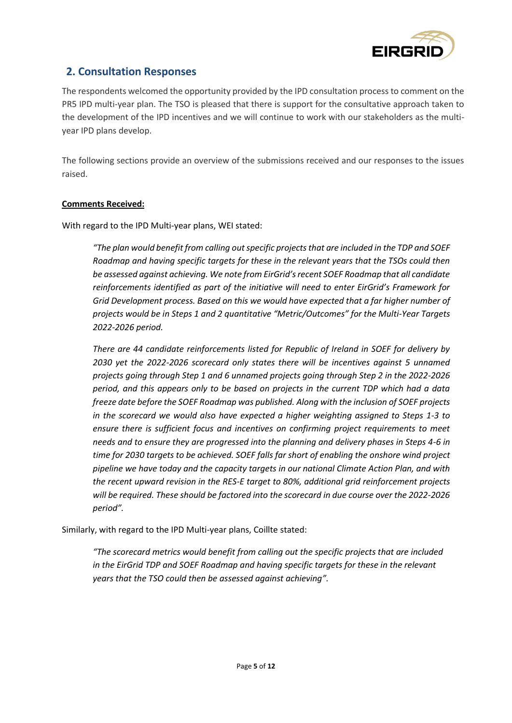

### <span id="page-4-0"></span>**2. Consultation Responses**

The respondents welcomed the opportunity provided by the IPD consultation process to comment on the PR5 IPD multi-year plan. The TSO is pleased that there is support for the consultative approach taken to the development of the IPD incentives and we will continue to work with our stakeholders as the multiyear IPD plans develop.

The following sections provide an overview of the submissions received and our responses to the issues raised.

#### **Comments Received:**

With regard to the IPD Multi-year plans, WEI stated:

*"The plan would benefit from calling out specific projects that are included in the TDP and SOEF Roadmap and having specific targets for these in the relevant years that the TSOs could then be assessed against achieving. We note from EirGrid's recent SOEF Roadmap that all candidate reinforcements identified as part of the initiative will need to enter EirGrid's Framework for Grid Development process. Based on this we would have expected that a far higher number of projects would be in Steps 1 and 2 quantitative "Metric/Outcomes" for the Multi-Year Targets 2022-2026 period.* 

*There are 44 candidate reinforcements listed for Republic of Ireland in SOEF for delivery by 2030 yet the 2022-2026 scorecard only states there will be incentives against 5 unnamed projects going through Step 1 and 6 unnamed projects going through Step 2 in the 2022-2026 period, and this appears only to be based on projects in the current TDP which had a data freeze date before the SOEF Roadmap was published. Along with the inclusion of SOEF projects in the scorecard we would also have expected a higher weighting assigned to Steps 1-3 to ensure there is sufficient focus and incentives on confirming project requirements to meet needs and to ensure they are progressed into the planning and delivery phases in Steps 4-6 in time for 2030 targets to be achieved. SOEF falls far short of enabling the onshore wind project pipeline we have today and the capacity targets in our national Climate Action Plan, and with the recent upward revision in the RES-E target to 80%, additional grid reinforcement projects will be required. These should be factored into the scorecard in due course over the 2022-2026 period".*

Similarly, with regard to the IPD Multi-year plans, Coillte stated:

*"The scorecard metrics would benefit from calling out the specific projects that are included in the EirGrid TDP and SOEF Roadmap and having specific targets for these in the relevant years that the TSO could then be assessed against achieving".*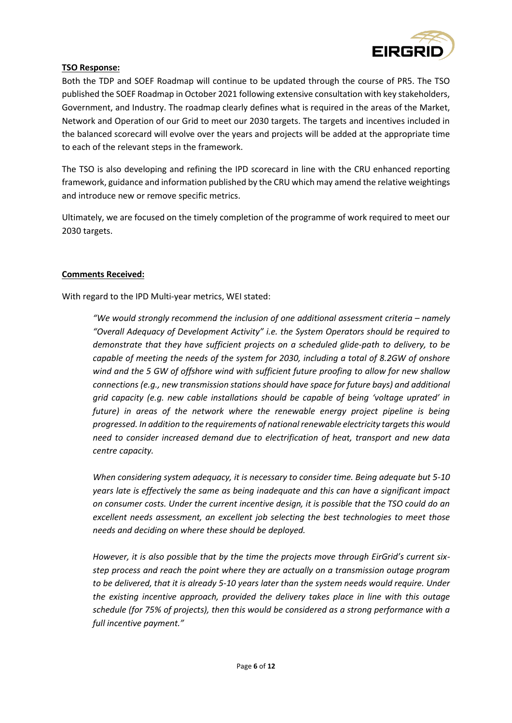

#### **TSO Response:**

Both the TDP and SOEF Roadmap will continue to be updated through the course of PR5. The TSO published the SOEF Roadmap in October 2021 following extensive consultation with key stakeholders, Government, and Industry. The roadmap clearly defines what is required in the areas of the Market, Network and Operation of our Grid to meet our 2030 targets. The targets and incentives included in the balanced scorecard will evolve over the years and projects will be added at the appropriate time to each of the relevant steps in the framework.

The TSO is also developing and refining the IPD scorecard in line with the CRU enhanced reporting framework, guidance and information published by the CRU which may amend the relative weightings and introduce new or remove specific metrics.

Ultimately, we are focused on the timely completion of the programme of work required to meet our 2030 targets.

#### **Comments Received:**

With regard to the IPD Multi-year metrics, WEI stated:

*"We would strongly recommend the inclusion of one additional assessment criteria – namely "Overall Adequacy of Development Activity" i.e. the System Operators should be required to demonstrate that they have sufficient projects on a scheduled glide-path to delivery, to be capable of meeting the needs of the system for 2030, including a total of 8.2GW of onshore wind and the 5 GW of offshore wind with sufficient future proofing to allow for new shallow connections (e.g., new transmission stations should have space for future bays) and additional grid capacity (e.g. new cable installations should be capable of being 'voltage uprated' in*  future) in areas of the network where the renewable energy project pipeline is being *progressed. In addition to the requirements of national renewable electricity targets this would need to consider increased demand due to electrification of heat, transport and new data centre capacity.*

*When considering system adequacy, it is necessary to consider time. Being adequate but 5-10 years late is effectively the same as being inadequate and this can have a significant impact on consumer costs. Under the current incentive design, it is possible that the TSO could do an excellent needs assessment, an excellent job selecting the best technologies to meet those needs and deciding on where these should be deployed.*

*However, it is also possible that by the time the projects move through EirGrid's current sixstep process and reach the point where they are actually on a transmission outage program to be delivered, that it is already 5-10 years later than the system needs would require. Under the existing incentive approach, provided the delivery takes place in line with this outage schedule (for 75% of projects), then this would be considered as a strong performance with a full incentive payment."*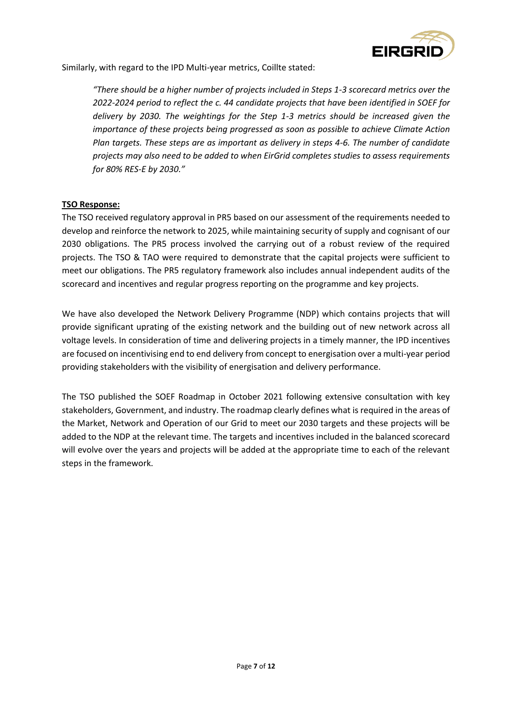

Similarly, with regard to the IPD Multi-year metrics, Coillte stated:

*"There should be a higher number of projects included in Steps 1-3 scorecard metrics over the 2022-2024 period to reflect the c. 44 candidate projects that have been identified in SOEF for delivery by 2030. The weightings for the Step 1-3 metrics should be increased given the importance of these projects being progressed as soon as possible to achieve Climate Action Plan targets. These steps are as important as delivery in steps 4-6. The number of candidate projects may also need to be added to when EirGrid completes studies to assess requirements for 80% RES-E by 2030."*

#### **TSO Response:**

The TSO received regulatory approval in PR5 based on our assessment of the requirements needed to develop and reinforce the network to 2025, while maintaining security of supply and cognisant of our 2030 obligations. The PR5 process involved the carrying out of a robust review of the required projects. The TSO & TAO were required to demonstrate that the capital projects were sufficient to meet our obligations. The PR5 regulatory framework also includes annual independent audits of the scorecard and incentives and regular progress reporting on the programme and key projects.

We have also developed the Network Delivery Programme (NDP) which contains projects that will provide significant uprating of the existing network and the building out of new network across all voltage levels. In consideration of time and delivering projects in a timely manner, the IPD incentives are focused on incentivising end to end delivery from concept to energisation over a multi-year period providing stakeholders with the visibility of energisation and delivery performance.

The TSO published the SOEF Roadmap in October 2021 following extensive consultation with key stakeholders, Government, and industry. The roadmap clearly defines what is required in the areas of the Market, Network and Operation of our Grid to meet our 2030 targets and these projects will be added to the NDP at the relevant time. The targets and incentives included in the balanced scorecard will evolve over the years and projects will be added at the appropriate time to each of the relevant steps in the framework.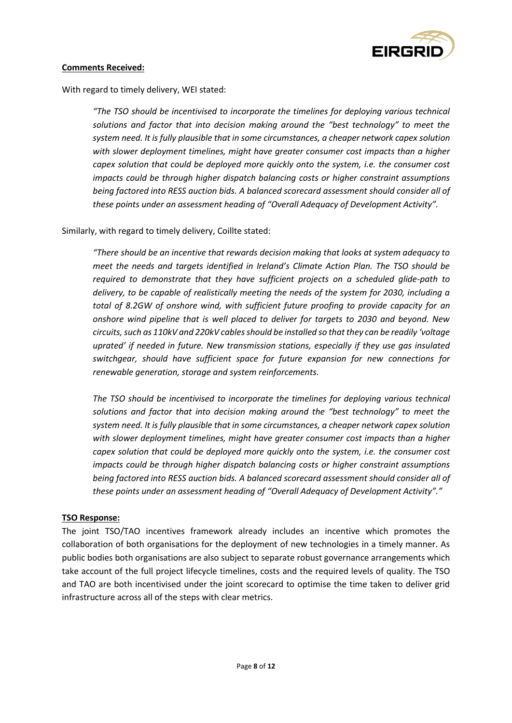

With regard to timely delivery, WEI stated:

*"The TSO should be incentivised to incorporate the timelines for deploying various technical solutions and factor that into decision making around the "best technology" to meet the system need. It is fully plausible that in some circumstances, a cheaper network capex solution with slower deployment timelines, might have greater consumer cost impacts than a higher capex solution that could be deployed more quickly onto the system, i.e. the consumer cost impacts could be through higher dispatch balancing costs or higher constraint assumptions being factored into RESS auction bids. A balanced scorecard assessment should consider all of these points under an assessment heading of "Overall Adequacy of Development Activity".*

#### Similarly, with regard to timely delivery, Coillte stated:

*"There should be an incentive that rewards decision making that looks at system adequacy to meet the needs and targets identified in Ireland's Climate Action Plan. The TSO should be required to demonstrate that they have sufficient projects on a scheduled glide-path to delivery, to be capable of realistically meeting the needs of the system for 2030, including a total of 8.2GW of onshore wind, with sufficient future proofing to provide capacity for an onshore wind pipeline that is well placed to deliver for targets to 2030 and beyond. New circuits, such as 110kV and 220kV cables should be installed so that they can be readily 'voltage uprated' if needed in future. New transmission stations, especially if they use gas insulated switchgear, should have sufficient space for future expansion for new connections for renewable generation, storage and system reinforcements.*

*The TSO should be incentivised to incorporate the timelines for deploying various technical solutions and factor that into decision making around the "best technology" to meet the system need. It is fully plausible that in some circumstances, a cheaper network capex solution with slower deployment timelines, might have greater consumer cost impacts than a higher capex solution that could be deployed more quickly onto the system, i.e. the consumer cost impacts could be through higher dispatch balancing costs or higher constraint assumptions being factored into RESS auction bids. A balanced scorecard assessment should consider all of these points under an assessment heading of "Overall Adequacy of Development Activity"."*

#### **TSO Response:**

The joint TSO/TAO incentives framework already includes an incentive which promotes the collaboration of both organisations for the deployment of new technologies in a timely manner. As public bodies both organisations are also subject to separate robust governance arrangements which take account of the full project lifecycle timelines, costs and the required levels of quality. The TSO and TAO are both incentivised under the joint scorecard to optimise the time taken to deliver grid infrastructure across all of the steps with clear metrics.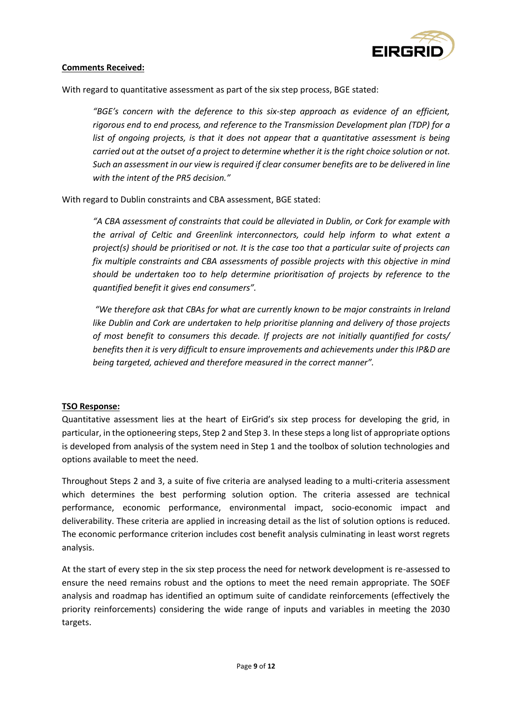

With regard to quantitative assessment as part of the six step process, BGE stated:

*"BGE's concern with the deference to this six-step approach as evidence of an efficient, rigorous end to end process, and reference to the Transmission Development plan (TDP) for a list of ongoing projects, is that it does not appear that a quantitative assessment is being carried out at the outset of a project to determine whether it isthe right choice solution or not. Such an assessment in our view is required if clear consumer benefits are to be delivered in line with the intent of the PR5 decision."*

With regard to Dublin constraints and CBA assessment, BGE stated:

*"A CBA assessment of constraints that could be alleviated in Dublin, or Cork for example with the arrival of Celtic and Greenlink interconnectors, could help inform to what extent a project(s) should be prioritised or not. It is the case too that a particular suite of projects can fix multiple constraints and CBA assessments of possible projects with this objective in mind should be undertaken too to help determine prioritisation of projects by reference to the quantified benefit it gives end consumers".*

*"We therefore ask that CBAs for what are currently known to be major constraints in Ireland like Dublin and Cork are undertaken to help prioritise planning and delivery of those projects of most benefit to consumers this decade. If projects are not initially quantified for costs/ benefits then it is very difficult to ensure improvements and achievements under this IP&D are being targeted, achieved and therefore measured in the correct manner".* 

#### **TSO Response:**

Quantitative assessment lies at the heart of EirGrid's six step process for developing the grid, in particular, in the optioneering steps, Step 2 and Step 3. In these steps a long list of appropriate options is developed from analysis of the system need in Step 1 and the toolbox of solution technologies and options available to meet the need.

Throughout Steps 2 and 3, a suite of five criteria are analysed leading to a multi-criteria assessment which determines the best performing solution option. The criteria assessed are technical performance, economic performance, environmental impact, socio-economic impact and deliverability. These criteria are applied in increasing detail as the list of solution options is reduced. The economic performance criterion includes cost benefit analysis culminating in least worst regrets analysis.

At the start of every step in the six step process the need for network development is re-assessed to ensure the need remains robust and the options to meet the need remain appropriate. The SOEF analysis and roadmap has identified an optimum suite of candidate reinforcements (effectively the priority reinforcements) considering the wide range of inputs and variables in meeting the 2030 targets.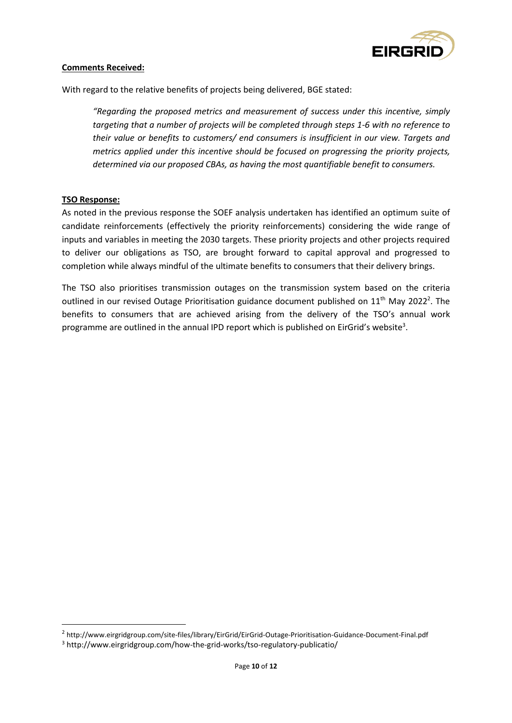

With regard to the relative benefits of projects being delivered, BGE stated:

*"Regarding the proposed metrics and measurement of success under this incentive, simply targeting that a number of projects will be completed through steps 1-6 with no reference to their value or benefits to customers/ end consumers is insufficient in our view. Targets and metrics applied under this incentive should be focused on progressing the priority projects, determined via our proposed CBAs, as having the most quantifiable benefit to consumers.*

#### **TSO Response:**

As noted in the previous response the SOEF analysis undertaken has identified an optimum suite of candidate reinforcements (effectively the priority reinforcements) considering the wide range of inputs and variables in meeting the 2030 targets. These priority projects and other projects required to deliver our obligations as TSO, are brought forward to capital approval and progressed to completion while always mindful of the ultimate benefits to consumers that their delivery brings.

The TSO also prioritises transmission outages on the transmission system based on the criteria outlined in our revised Outage Prioritisation guidance document published on  $11<sup>th</sup>$  May 2022<sup>2</sup>. The benefits to consumers that are achieved arising from the delivery of the TSO's annual work programme are outlined in the annual IPD report which is published on EirGrid's website<sup>3</sup>.

<sup>2</sup> http://www.eirgridgroup.com/site-files/library/EirGrid/EirGrid-Outage-Prioritisation-Guidance-Document-Final.pdf

<sup>3</sup> http://www.eirgridgroup.com/how-the-grid-works/tso-regulatory-publicatio/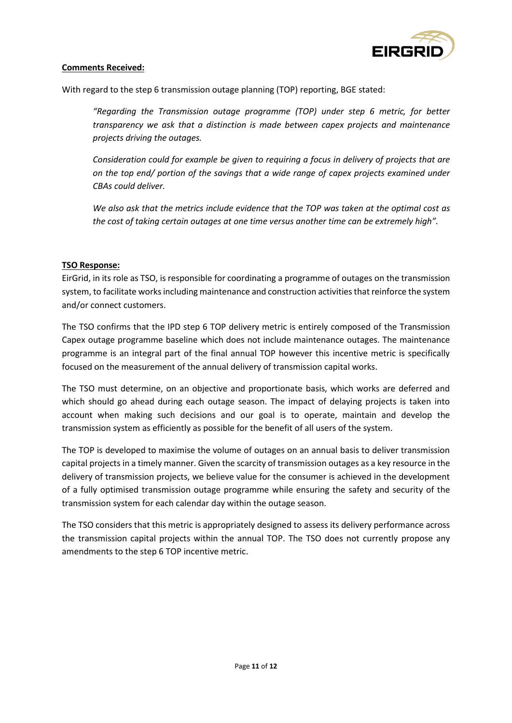

With regard to the step 6 transmission outage planning (TOP) reporting, BGE stated:

*"Regarding the Transmission outage programme (TOP) under step 6 metric, for better transparency we ask that a distinction is made between capex projects and maintenance projects driving the outages.*

*Consideration could for example be given to requiring a focus in delivery of projects that are on the top end/ portion of the savings that a wide range of capex projects examined under CBAs could deliver.*

*We also ask that the metrics include evidence that the TOP was taken at the optimal cost as the cost of taking certain outages at one time versus another time can be extremely high".*

#### **TSO Response:**

EirGrid, in its role as TSO, is responsible for coordinating a programme of outages on the transmission system, to facilitate works including maintenance and construction activities that reinforce the system and/or connect customers.

The TSO confirms that the IPD step 6 TOP delivery metric is entirely composed of the Transmission Capex outage programme baseline which does not include maintenance outages. The maintenance programme is an integral part of the final annual TOP however this incentive metric is specifically focused on the measurement of the annual delivery of transmission capital works.

The TSO must determine, on an objective and proportionate basis, which works are deferred and which should go ahead during each outage season. The impact of delaying projects is taken into account when making such decisions and our goal is to operate, maintain and develop the transmission system as efficiently as possible for the benefit of all users of the system.

The TOP is developed to maximise the volume of outages on an annual basis to deliver transmission capital projects in a timely manner. Given the scarcity of transmission outages as a key resource in the delivery of transmission projects, we believe value for the consumer is achieved in the development of a fully optimised transmission outage programme while ensuring the safety and security of the transmission system for each calendar day within the outage season.

The TSO considers that this metric is appropriately designed to assess its delivery performance across the transmission capital projects within the annual TOP. The TSO does not currently propose any amendments to the step 6 TOP incentive metric.